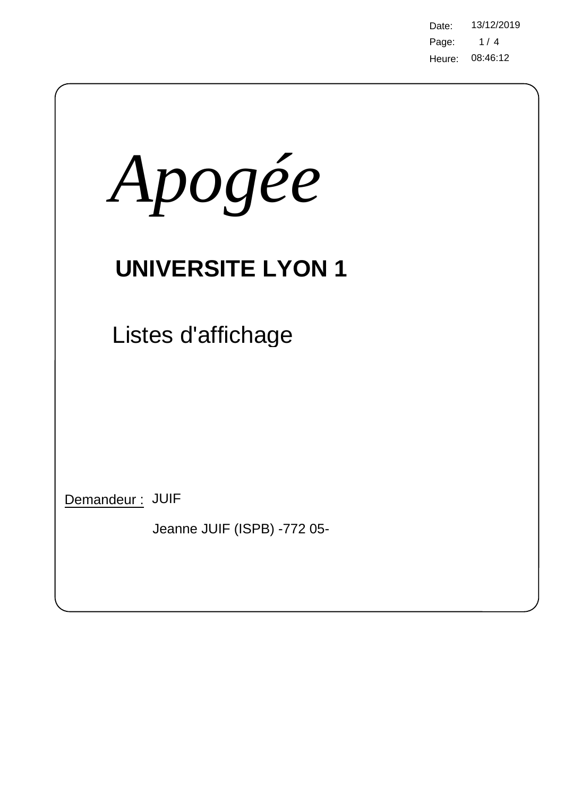Page: 08:46:12 Heure: Date: 13/12/2019  $1/4$ 

| Apogée                                         |  |  |  |  |  |  |
|------------------------------------------------|--|--|--|--|--|--|
| <b>UNIVERSITE LYON 1</b>                       |  |  |  |  |  |  |
| Listes d'affichage                             |  |  |  |  |  |  |
|                                                |  |  |  |  |  |  |
|                                                |  |  |  |  |  |  |
| Demandeur: JUIF<br>Jeanne JUIF (ISPB) -772 05- |  |  |  |  |  |  |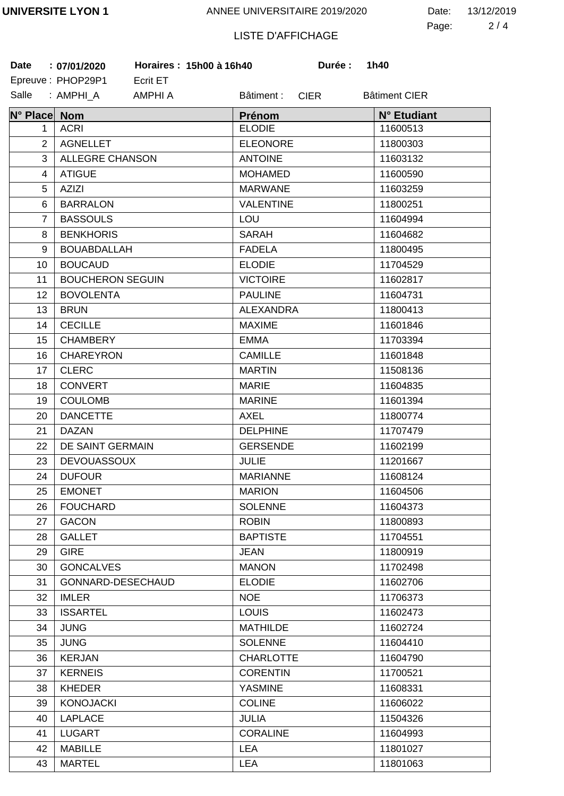2 4 Page: Date: 13/12/2019

## LISTE D'AFFICHAGE

| <b>Date</b>    | Horaires: 15h00 à 16h40<br>: 07/01/2020 | Durée :                   | 1h40                 |
|----------------|-----------------------------------------|---------------------------|----------------------|
|                | Epreuve: PHOP29P1<br>Ecrit ET           |                           |                      |
| Salle          | : AMPHI_A<br>AMPHI A                    | <b>CIER</b><br>Bâtiment : | <b>Bâtiment CIER</b> |
| N° Place Nom   |                                         | Prénom                    | N° Etudiant          |
| 1.             | <b>ACRI</b>                             | <b>ELODIE</b>             | 11600513             |
| 2              | <b>AGNELLET</b>                         | <b>ELEONORE</b>           | 11800303             |
| 3              | ALLEGRE CHANSON                         | <b>ANTOINE</b>            | 11603132             |
| $\overline{4}$ | <b>ATIGUE</b>                           | <b>MOHAMED</b>            | 11600590             |
| 5              | <b>AZIZI</b>                            | <b>MARWANE</b>            | 11603259             |
| 6              | <b>BARRALON</b>                         | <b>VALENTINE</b>          | 11800251             |
| $\overline{7}$ | <b>BASSOULS</b>                         | LOU                       | 11604994             |
| 8              | <b>BENKHORIS</b>                        | <b>SARAH</b>              | 11604682             |
| 9              | <b>BOUABDALLAH</b>                      | <b>FADELA</b>             | 11800495             |
| 10             | <b>BOUCAUD</b>                          | <b>ELODIE</b>             | 11704529             |
| 11             | <b>BOUCHERON SEGUIN</b>                 | <b>VICTOIRE</b>           | 11602817             |
| 12             | <b>BOVOLENTA</b>                        | <b>PAULINE</b>            | 11604731             |
| 13             | <b>BRUN</b>                             | <b>ALEXANDRA</b>          | 11800413             |
| 14             | <b>CECILLE</b>                          | <b>MAXIME</b>             | 11601846             |
| 15             | <b>CHAMBERY</b>                         | <b>EMMA</b>               | 11703394             |
| 16             | <b>CHAREYRON</b>                        | <b>CAMILLE</b>            | 11601848             |
| 17             | <b>CLERC</b>                            | <b>MARTIN</b>             | 11508136             |
| 18             | <b>CONVERT</b>                          | <b>MARIE</b>              | 11604835             |
| 19             | <b>COULOMB</b>                          | <b>MARINE</b>             | 11601394             |
| 20             | <b>DANCETTE</b>                         | <b>AXEL</b>               | 11800774             |
| 21             | <b>DAZAN</b>                            | <b>DELPHINE</b>           | 11707479             |
| 22             | DE SAINT GERMAIN                        | <b>GERSENDE</b>           | 11602199             |
| 23             | <b>DEVOUASSOUX</b>                      | <b>JULIE</b>              | 11201667             |
| 24             | <b>DUFOUR</b>                           | <b>MARIANNE</b>           | 11608124             |
| 25             | <b>EMONET</b>                           | <b>MARION</b>             | 11604506             |
| 26             | <b>FOUCHARD</b>                         | <b>SOLENNE</b>            | 11604373             |
| 27             | <b>GACON</b>                            | <b>ROBIN</b>              | 11800893             |
| 28             | <b>GALLET</b>                           | <b>BAPTISTE</b>           | 11704551             |
| 29             | <b>GIRE</b>                             | <b>JEAN</b>               | 11800919             |
| 30             | <b>GONCALVES</b>                        | <b>MANON</b>              | 11702498             |
| 31             | GONNARD-DESECHAUD                       | <b>ELODIE</b>             | 11602706             |
| 32             | <b>IMLER</b>                            | <b>NOE</b>                | 11706373             |
| 33             | <b>ISSARTEL</b>                         | <b>LOUIS</b>              | 11602473             |
| 34             | <b>JUNG</b>                             | <b>MATHILDE</b>           | 11602724             |
| 35             | <b>JUNG</b>                             | <b>SOLENNE</b>            | 11604410             |
| 36             | <b>KERJAN</b>                           | <b>CHARLOTTE</b>          | 11604790             |
| 37             | <b>KERNEIS</b>                          | <b>CORENTIN</b>           | 11700521             |
| 38             | <b>KHEDER</b>                           | <b>YASMINE</b>            | 11608331             |
| 39             | <b>KONOJACKI</b>                        | <b>COLINE</b>             | 11606022             |
| 40             | <b>LAPLACE</b>                          | <b>JULIA</b>              | 11504326             |
| 41             | <b>LUGART</b>                           | <b>CORALINE</b>           | 11604993             |
| 42             | <b>MABILLE</b>                          | <b>LEA</b>                | 11801027             |
| 43             | <b>MARTEL</b>                           | <b>LEA</b>                | 11801063             |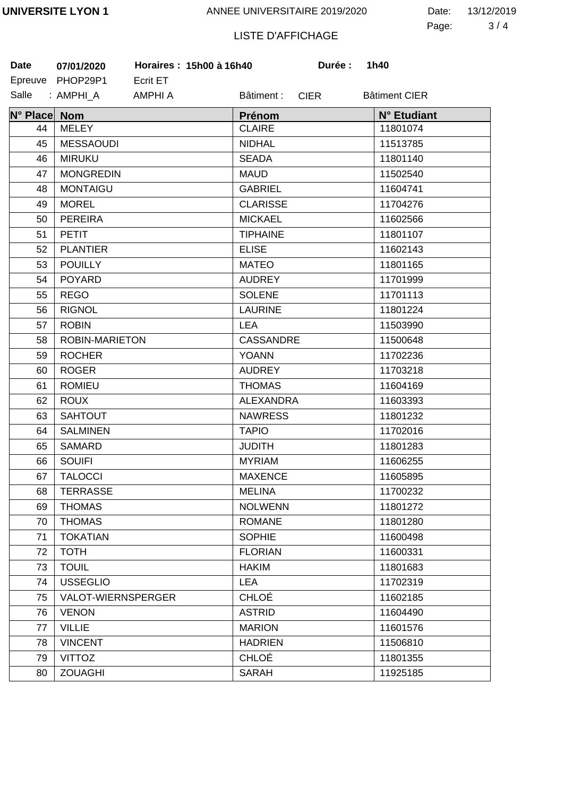3 4 Page: Date: 13/12/2019

## LISTE D'AFFICHAGE

| <b>Date</b>  | Horaires: 15h00 à 16h40<br>07/01/2020 | Durée :                   | 1h40                 |
|--------------|---------------------------------------|---------------------------|----------------------|
|              | Epreuve PHOP29P1<br>Ecrit ET          |                           |                      |
| Salle        | : AMPHI A<br>AMPHI A                  | Bâtiment :<br><b>CIER</b> | <b>Bâtiment CIER</b> |
| N° Place Nom |                                       | Prénom                    | N° Etudiant          |
| 44           | <b>MELEY</b>                          | <b>CLAIRE</b>             | 11801074             |
| 45           | <b>MESSAOUDI</b>                      | <b>NIDHAL</b>             | 11513785             |
| 46           | <b>MIRUKU</b>                         | <b>SEADA</b>              | 11801140             |
| 47           | <b>MONGREDIN</b>                      | <b>MAUD</b>               | 11502540             |
| 48           | <b>MONTAIGU</b>                       | <b>GABRIEL</b>            | 11604741             |
| 49           | <b>MOREL</b>                          | <b>CLARISSE</b>           | 11704276             |
| 50           | <b>PEREIRA</b>                        | <b>MICKAEL</b>            | 11602566             |
| 51           | <b>PETIT</b>                          | <b>TIPHAINE</b>           | 11801107             |
| 52           | <b>PLANTIER</b>                       | <b>ELISE</b>              | 11602143             |
| 53           | <b>POUILLY</b>                        | <b>MATEO</b>              | 11801165             |
| 54           | <b>POYARD</b>                         | <b>AUDREY</b>             | 11701999             |
| 55           | <b>REGO</b>                           | <b>SOLENE</b>             | 11701113             |
| 56           | <b>RIGNOL</b>                         | <b>LAURINE</b>            | 11801224             |
| 57           | <b>ROBIN</b>                          | <b>LEA</b>                | 11503990             |
| 58           | ROBIN-MARIETON                        | <b>CASSANDRE</b>          | 11500648             |
| 59           | <b>ROCHER</b>                         | <b>YOANN</b>              | 11702236             |
| 60           | <b>ROGER</b>                          | <b>AUDREY</b>             | 11703218             |
| 61           | <b>ROMIEU</b>                         | <b>THOMAS</b>             | 11604169             |
| 62           | <b>ROUX</b>                           | <b>ALEXANDRA</b>          | 11603393             |
| 63           | <b>SAHTOUT</b>                        | <b>NAWRESS</b>            | 11801232             |
| 64           | <b>SALMINEN</b>                       | <b>TAPIO</b>              | 11702016             |
| 65           | <b>SAMARD</b>                         | <b>JUDITH</b>             | 11801283             |
| 66           | <b>SOUIFI</b>                         | <b>MYRIAM</b>             | 11606255             |
| 67           | <b>TALOCCI</b>                        | <b>MAXENCE</b>            | 11605895             |
| 68           | <b>TERRASSE</b>                       | <b>MELINA</b>             | 11700232             |
| 69           | <b>THOMAS</b>                         | <b>NOLWENN</b>            | 11801272             |
| 70           | <b>THOMAS</b>                         | <b>ROMANE</b>             | 11801280             |
| 71           | <b>TOKATIAN</b>                       | <b>SOPHIE</b>             | 11600498             |
| 72           | <b>TOTH</b>                           | <b>FLORIAN</b>            | 11600331             |
| 73           | <b>TOUIL</b>                          | <b>HAKIM</b>              | 11801683             |
| 74           | <b>USSEGLIO</b>                       | <b>LEA</b>                | 11702319             |
| 75           | VALOT-WIERNSPERGER                    | <b>CHLOÉ</b>              | 11602185             |
| 76           | <b>VENON</b>                          | <b>ASTRID</b>             | 11604490             |
| 77           | <b>VILLIE</b>                         | <b>MARION</b>             | 11601576             |
| 78           | <b>VINCENT</b>                        | <b>HADRIEN</b>            | 11506810             |
| 79           | <b>VITTOZ</b>                         | <b>CHLOÉ</b>              | 11801355             |
| 80           | <b>ZOUAGHI</b>                        | <b>SARAH</b>              | 11925185             |